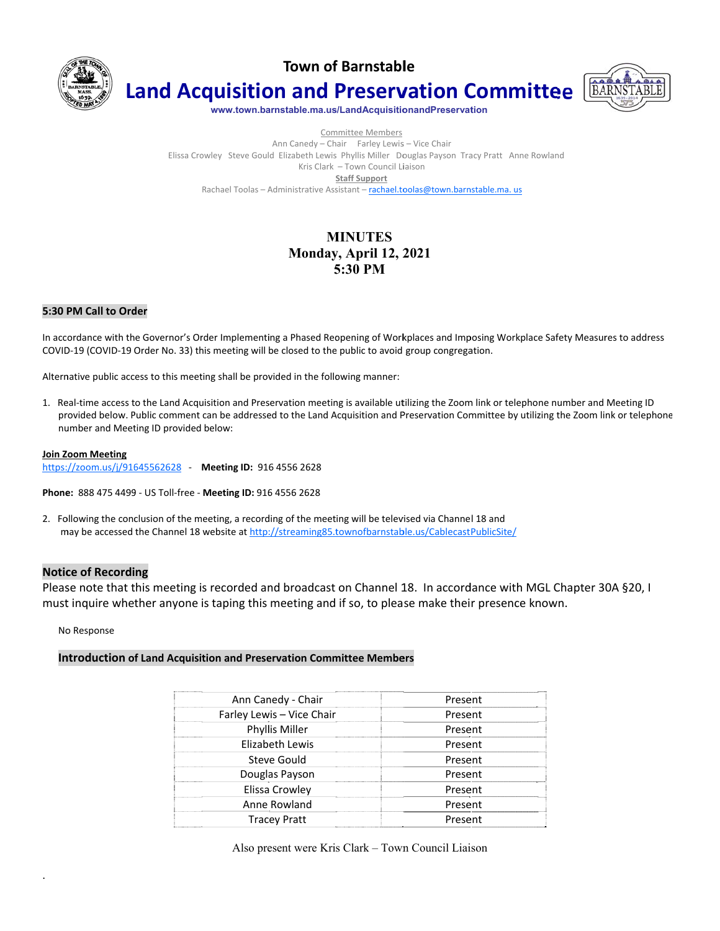

**Town of Barnstable** 



**Land Acquisition and Preservation Committee** 

www.town.barnstable.ma.us/LandAcquisitionandPreservation

Committee Members Ann Canedy - Chair Farley Lewis - Vice Chair Elissa Crowley Steve Gould Elizabeth Lewis Phyllis Miller Douglas Payson Tracy Pratt Anne Rowland Kris Clark - Town Council Liaison **Staff Support** Rachael Toolas - Administrative Assistant - rachael.toolas@town.barnstable.ma.us

# **MINUTES** Monday, April 12, 2021 5:30 PM

### 5:30 PM Call to Order

In accordance with the Governor's Order Implementing a Phased Reopening of Workplaces and Imposing Workplace Safety Measures to address COVID-19 (COVID-19 Order No. 33) this meeting will be closed to the public to avoid group congregation.

Alternative public access to this meeting shall be provided in the following manner:

1. Real-time access to the Land Acquisition and Preservation meeting is available utilizing the Zoom link or telephone number and Meeting ID provided below. Public comment can be addressed to the Land Acquisition and Preservation Committee by utilizing the Zoom link or telephone number and Meeting ID provided below:

#### **Join Zoom Meeting**

https://zoom.us/j/91645562628 - Meeting ID: 916 4556 2628

Phone: 888 475 4499 - US Toll-free - Meeting ID: 916 4556 2628

2. Following the conclusion of the meeting, a recording of the meeting will be televised via Channel 18 and may be accessed the Channel 18 website at http://streaming85.townofbarnstable.us/CablecastPublicSite/

### **Notice of Recording**

Please note that this meeting is recorded and broadcast on Channel 18. In accordance with MGL Chapter 30A §20, I must inquire whether anyone is taping this meeting and if so, to please make their presence known.

No Response

### Introduction of Land Acquisition and Preservation Committee Members

| Ann Canedy - Chair<br>                                                                                                                                                                                                                                      | Present |
|-------------------------------------------------------------------------------------------------------------------------------------------------------------------------------------------------------------------------------------------------------------|---------|
| Farley Lewis - Vice Chair                                                                                                                                                                                                                                   | Present |
| Phyllis Miller                                                                                                                                                                                                                                              | Present |
| Elizabeth Lewis                                                                                                                                                                                                                                             | Present |
| Steve Gould<br><br>                                                                                                                                                                                                                                         | Present |
| Douglas Payson                                                                                                                                                                                                                                              | Present |
| Elissa Crowley<br>.                                                                                                                                                                                                                                         | Present |
| Anne Rowland<br>--------------------                                                                                                                                                                                                                        | Present |
| <b>Tracey Pratt</b><br><b>Express to the Contract Contract of the Contract of the Contract of the Contract of the Contract of the Contract of the Contract of the Contract of the Contract of the Contract of the Contract of the Contract of the Contr</b> | Present |

Also present were Kris Clark - Town Council Liaison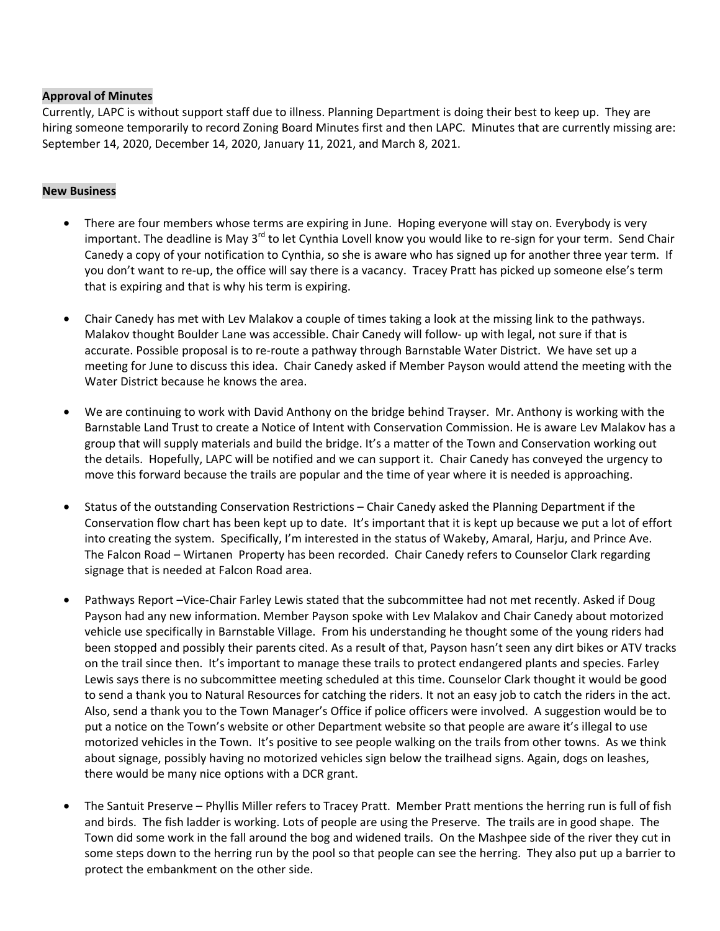## **Approval of Minutes**

Currently, LAPC is without support staff due to illness. Planning Department is doing their best to keep up. They are hiring someone temporarily to record Zoning Board Minutes first and then LAPC. Minutes that are currently missing are: September 14, 2020, December 14, 2020, January 11, 2021, and March 8, 2021.

### **New Business**

- There are four members whose terms are expiring in June. Hoping everyone will stay on. Everybody is very important. The deadline is May 3<sup>rd</sup> to let Cynthia Lovell know you would like to re-sign for your term. Send Chair Canedy a copy of your notification to Cynthia, so she is aware who has signed up for another three year term. If you don't want to re-up, the office will say there is a vacancy. Tracey Pratt has picked up someone else's term that is expiring and that is why his term is expiring.
- Chair Canedy has met with Lev Malakov a couple of times taking a look at the missing link to the pathways. Malakov thought Boulder Lane was accessible. Chair Canedy will follow- up with legal, not sure if that is accurate. Possible proposal is to re-route a pathway through Barnstable Water District. We have set up a meeting for June to discuss this idea. Chair Canedy asked if Member Payson would attend the meeting with the Water District because he knows the area.
- We are continuing to work with David Anthony on the bridge behind Trayser. Mr. Anthony is working with the Barnstable Land Trust to create a Notice of Intent with Conservation Commission. He is aware Lev Malakov has a group that will supply materials and build the bridge. It's a matter of the Town and Conservation working out the details. Hopefully, LAPC will be notified and we can support it. Chair Canedy has conveyed the urgency to move this forward because the trails are popular and the time of year where it is needed is approaching.
- Status of the outstanding Conservation Restrictions Chair Canedy asked the Planning Department if the Conservation flow chart has been kept up to date. It's important that it is kept up because we put a lot of effort into creating the system. Specifically, I'm interested in the status of Wakeby, Amaral, Harju, and Prince Ave. The Falcon Road – Wirtanen Property has been recorded. Chair Canedy refers to Counselor Clark regarding signage that is needed at Falcon Road area.
- Pathways Report –Vice-Chair Farley Lewis stated that the subcommittee had not met recently. Asked if Doug Payson had any new information. Member Payson spoke with Lev Malakov and Chair Canedy about motorized vehicle use specifically in Barnstable Village. From his understanding he thought some of the young riders had been stopped and possibly their parents cited. As a result of that, Payson hasn't seen any dirt bikes or ATV tracks on the trail since then. It's important to manage these trails to protect endangered plants and species. Farley Lewis says there is no subcommittee meeting scheduled at this time. Counselor Clark thought it would be good to send a thank you to Natural Resources for catching the riders. It not an easy job to catch the riders in the act. Also, send a thank you to the Town Manager's Office if police officers were involved. A suggestion would be to put a notice on the Town's website or other Department website so that people are aware it's illegal to use motorized vehicles in the Town. It's positive to see people walking on the trails from other towns. As we think about signage, possibly having no motorized vehicles sign below the trailhead signs. Again, dogs on leashes, there would be many nice options with a DCR grant.
- The Santuit Preserve Phyllis Miller refers to Tracey Pratt. Member Pratt mentions the herring run is full of fish and birds. The fish ladder is working. Lots of people are using the Preserve. The trails are in good shape. The Town did some work in the fall around the bog and widened trails. On the Mashpee side of the river they cut in some steps down to the herring run by the pool so that people can see the herring. They also put up a barrier to protect the embankment on the other side.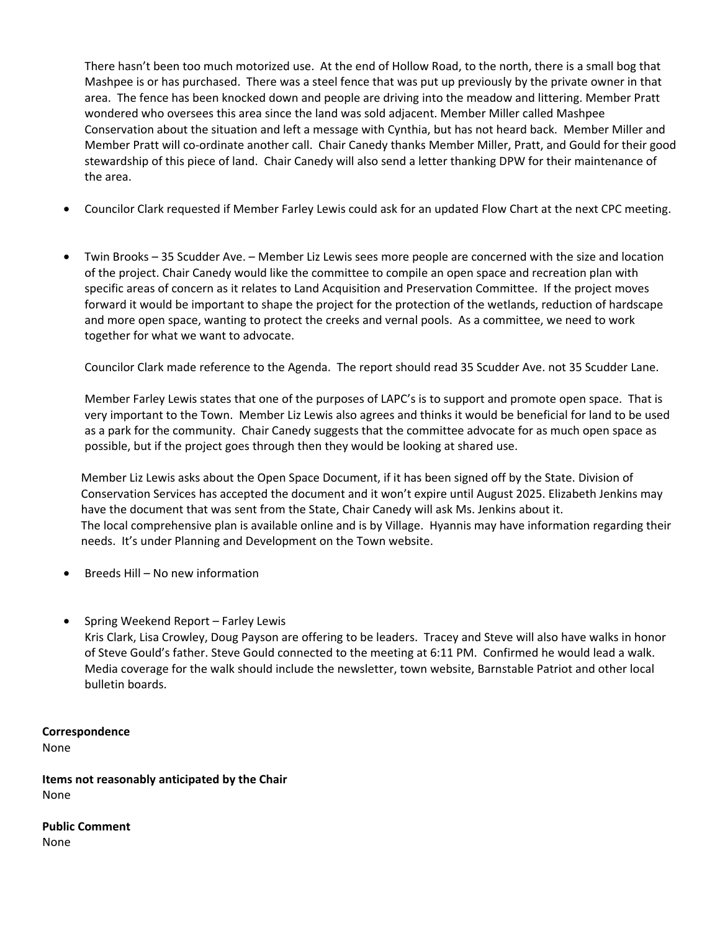There hasn't been too much motorized use. At the end of Hollow Road, to the north, there is a small bog that Mashpee is or has purchased. There was a steel fence that was put up previously by the private owner in that area. The fence has been knocked down and people are driving into the meadow and littering. Member Pratt wondered who oversees this area since the land was sold adjacent. Member Miller called Mashpee Conservation about the situation and left a message with Cynthia, but has not heard back. Member Miller and Member Pratt will co-ordinate another call. Chair Canedy thanks Member Miller, Pratt, and Gould for their good stewardship of this piece of land. Chair Canedy will also send a letter thanking DPW for their maintenance of the area.

- Councilor Clark requested if Member Farley Lewis could ask for an updated Flow Chart at the next CPC meeting.
- Twin Brooks 35 Scudder Ave. Member Liz Lewis sees more people are concerned with the size and location of the project. Chair Canedy would like the committee to compile an open space and recreation plan with specific areas of concern as it relates to Land Acquisition and Preservation Committee. If the project moves forward it would be important to shape the project for the protection of the wetlands, reduction of hardscape and more open space, wanting to protect the creeks and vernal pools. As a committee, we need to work together for what we want to advocate.

Councilor Clark made reference to the Agenda. The report should read 35 Scudder Ave. not 35 Scudder Lane.

Member Farley Lewis states that one of the purposes of LAPC's is to support and promote open space. That is very important to the Town. Member Liz Lewis also agrees and thinks it would be beneficial for land to be used as a park for the community. Chair Canedy suggests that the committee advocate for as much open space as possible, but if the project goes through then they would be looking at shared use.

Member Liz Lewis asks about the Open Space Document, if it has been signed off by the State. Division of Conservation Services has accepted the document and it won't expire until August 2025. Elizabeth Jenkins may have the document that was sent from the State, Chair Canedy will ask Ms. Jenkins about it. The local comprehensive plan is available online and is by Village. Hyannis may have information regarding their needs. It's under Planning and Development on the Town website.

- Breeds Hill No new information
- Spring Weekend Report Farley Lewis

Kris Clark, Lisa Crowley, Doug Payson are offering to be leaders. Tracey and Steve will also have walks in honor of Steve Gould's father. Steve Gould connected to the meeting at 6:11 PM. Confirmed he would lead a walk. Media coverage for the walk should include the newsletter, town website, Barnstable Patriot and other local bulletin boards.

## **Correspondence**

None

**Items not reasonably anticipated by the Chair**  None

**Public Comment**  None